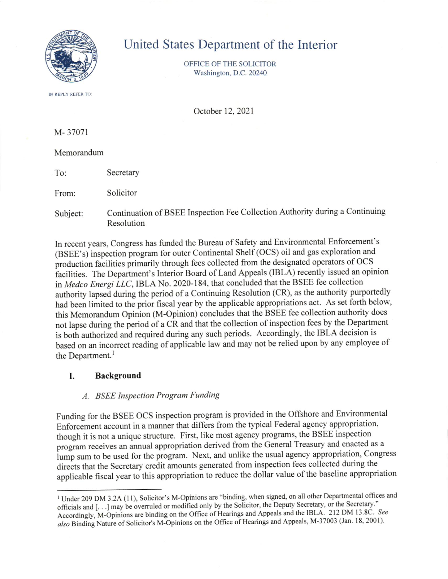

# United States Department of the Interior

OFFICE OF THE SOLICITOR Washington, D.C.20240

IN REPLY REFER TO

October 12,2021

M- 37071

#### Memorandum

To: Secretary

From: Solicitor

Subject: Continuation of BSEE Inspection Fee Collection Authority during a Continuing Resolution

In recent years, Congress has funded the Bureau of Safety and Environmental Enforcement's (BSEE's) inspection program for outer Continental Shelf (OCS) oil and gas exploration and production facilities primarily through fees collected from the designated operators of OCS facilities. The Department's Interior Board of Land Appeals (IBLA) recently issued an opinion in Medco Energi LLC, IBLA No. 2020-184, that concluded that the BSEE fee collection authority lapsed during the period of a Continuing Resolution (CR), as the authority purportedly had been limited to the prior fiscal year by the applicable appropriations act. As set forth below, this Memorandum Opinion (M-Opinion) concludes that the BSEE fee collection authority does not lapse during the period of a CR and that the collection of inspection fees by the Department is both authorized and required during any such periods. Accordingly, the IBLA decision is based on an incorrect reading of applicable law and may not be relied upon by any employee of the Department. $<sup>1</sup>$ </sup>

### L Background

### A. BSEE Inspection Program Funding

Funding for the BSEE OCS inspection program is provided in the Offshore and Environmental Enforcement account in a manner that differs from the typical Federal agency appropriation, though it is not a unique structue. First, like most agency programs, the BSEE inspection program receives an annual appropriation derived from the General Treasury and enacted as a lump sum to be used for the program. Next, and unlike the usual agency appropriation, Congress directs that the Secretary credit amounts generated from inspection fees collected during the applicable fiscal year to this appropriation to reduce the dollar value of the baseline appropriation

<sup>&</sup>lt;sup>1</sup> Under 209 DM 3.2A (11), Solicitor's M-Opinions are "binding, when signed, on all other Departmental offices and officials and [...] may be overruled or modified only by the Solicitor, the Deputy Secretary, or the Secretary." Accordingly, M-Opinions are binding on the Office of Hearings and Appeals and the IBLA. 212 DM 13.8C. See also Binding Nature of Solicitor's M-Opinions on the Office of Hearings and Appeals, M-37003 (Jan. 18, 2001).